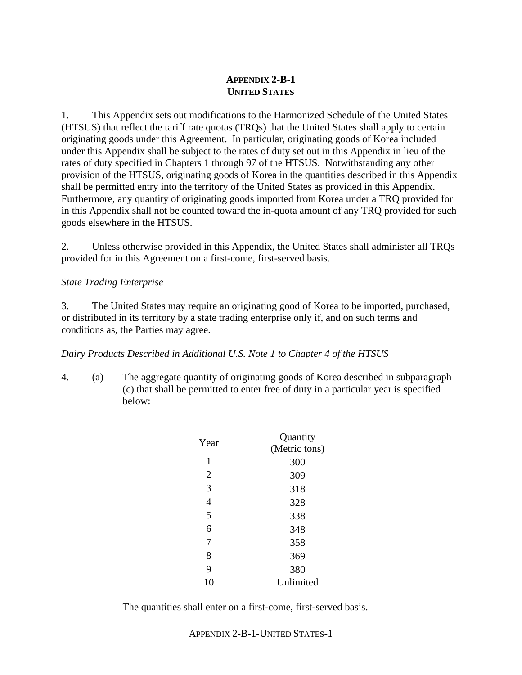## **APPENDIX 2-B-1 UNITED STATES**

1. This Appendix sets out modifications to the Harmonized Schedule of the United States (HTSUS) that reflect the tariff rate quotas (TRQs) that the United States shall apply to certain originating goods under this Agreement. In particular, originating goods of Korea included under this Appendix shall be subject to the rates of duty set out in this Appendix in lieu of the rates of duty specified in Chapters 1 through 97 of the HTSUS. Notwithstanding any other provision of the HTSUS, originating goods of Korea in the quantities described in this Appendix shall be permitted entry into the territory of the United States as provided in this Appendix. Furthermore, any quantity of originating goods imported from Korea under a TRQ provided for in this Appendix shall not be counted toward the in-quota amount of any TRQ provided for such goods elsewhere in the HTSUS.

2. Unless otherwise provided in this Appendix, the United States shall administer all TRQs provided for in this Agreement on a first-come, first-served basis.

## *State Trading Enterprise*

3. The United States may require an originating good of Korea to be imported, purchased, or distributed in its territory by a state trading enterprise only if, and on such terms and conditions as, the Parties may agree.

## *Dairy Products Described in Additional U.S. Note 1 to Chapter 4 of the HTSUS*

4. (a) The aggregate quantity of originating goods of Korea described in subparagraph (c) that shall be permitted to enter free of duty in a particular year is specified below:

| Year           | Quantity      |
|----------------|---------------|
|                | (Metric tons) |
| $\mathbf{1}$   | 300           |
| $\overline{2}$ | 309           |
| 3              | 318           |
| $\overline{4}$ | 328           |
| 5              | 338           |
| 6              | 348           |
| 7              | 358           |
| 8              | 369           |
| 9              | 380           |
| 10             | Unlimited     |

The quantities shall enter on a first-come, first-served basis.